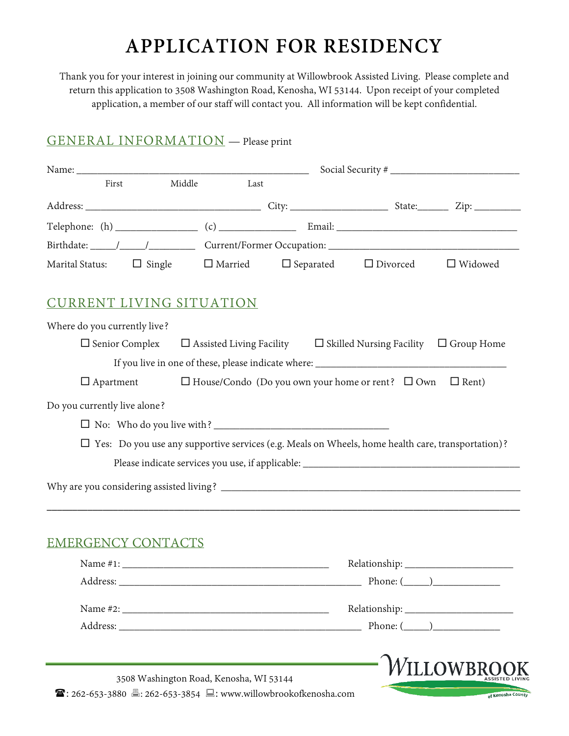# **APPLICATION FOR RESIDENCY**

Thank you for your interest in joining our community at Willowbrook Assisted Living. Please complete and return this application to 3508 Washington Road, Kenosha, WI 53144. Upon receipt of your completed application, a member of our staff will contact you. All information will be kept confidential.

# GENERAL INFORMATION — Please print

| First                           | Middle | Last |                                                                                                          |                 |
|---------------------------------|--------|------|----------------------------------------------------------------------------------------------------------|-----------------|
|                                 |        |      |                                                                                                          |                 |
|                                 |        |      |                                                                                                          |                 |
|                                 |        |      |                                                                                                          |                 |
| Marital Status: $\Box$ Single   |        |      | $\Box$ Married $\Box$ Separated $\Box$ Divorced $\Box$ Widowed                                           |                 |
| <b>CURRENT LIVING SITUATION</b> |        |      |                                                                                                          |                 |
| Where do you currently live?    |        |      |                                                                                                          |                 |
| $\Box$ Senior Complex           |        |      | $\Box$ Assisted Living Facility $\Box$ Skilled Nursing Facility $\Box$ Group Home                        |                 |
|                                 |        |      |                                                                                                          |                 |
|                                 |        |      |                                                                                                          |                 |
|                                 |        |      | $\Box$ Apartment $\Box$ House/Condo (Do you own your home or rent? $\Box$ Own $\Box$ Rent)               |                 |
|                                 |        |      |                                                                                                          |                 |
|                                 |        |      |                                                                                                          |                 |
|                                 |        |      |                                                                                                          |                 |
|                                 |        |      | $\Box$ Yes: Do you use any supportive services (e.g. Meals on Wheels, home health care, transportation)? |                 |
| Do you currently live alone?    |        |      |                                                                                                          |                 |
|                                 |        |      |                                                                                                          |                 |
|                                 |        |      |                                                                                                          |                 |
|                                 |        |      |                                                                                                          |                 |
|                                 |        |      |                                                                                                          |                 |
| <b>EMERGENCY CONTACTS</b>       |        |      |                                                                                                          | Phone: $(\_\_)$ |
|                                 |        |      |                                                                                                          |                 |
|                                 |        |      |                                                                                                          |                 |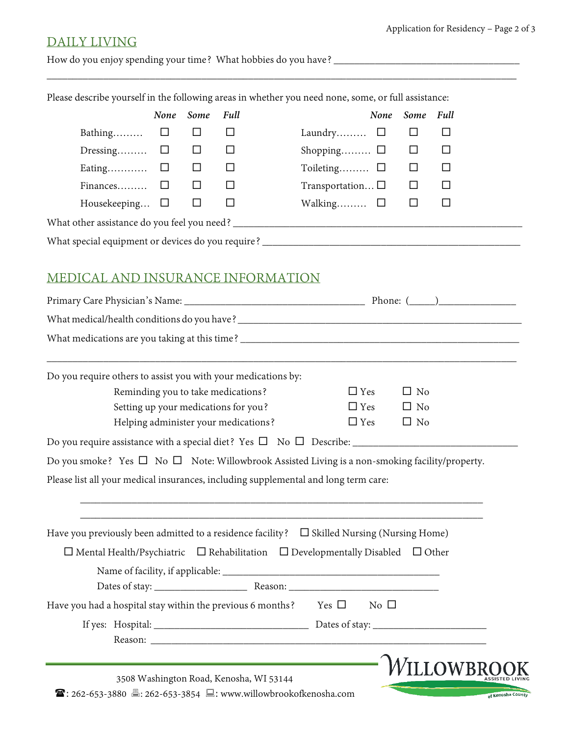### Application for Residency – Page 2 of 3

# DAILY LIVING

How do you enjoy spending your time? What hobbies do you have? \_\_\_\_\_\_\_\_\_\_\_\_\_\_\_\_\_\_\_\_\_\_\_\_\_\_\_\_\_\_\_\_\_\_\_\_

Please describe yourself in the following areas in whether you need none, some, or full assistance:

|                                                   |   | None Some | <b>Full</b> | None Some Full              |
|---------------------------------------------------|---|-----------|-------------|-----------------------------|
| Bathing $\Box$                                    |   |           |             | Laundry $\Box$<br>ப         |
| Dressing $\Box$                                   |   |           |             | Shopping $\Box$<br>$\sqcup$ |
| Eating $\square$                                  |   |           |             | Toileting $\square$<br>ப    |
| Finances                                          | ⊔ |           |             | Transportation<br>ப         |
| Housekeeping $\Box$                               |   |           |             | Walking $\Box$<br>ப         |
| What other assistance do you feel you need? __    |   |           |             |                             |
| What special equipment or devices do you require? |   |           |             |                             |

\_\_\_\_\_\_\_\_\_\_\_\_\_\_\_\_\_\_\_\_\_\_\_\_\_\_\_\_\_\_\_\_\_\_\_\_\_\_\_\_\_\_\_\_\_\_\_\_\_\_\_\_\_\_\_\_\_\_\_\_\_\_\_\_\_\_\_\_\_\_\_\_\_\_\_\_\_\_\_\_\_\_\_\_\_\_\_\_\_\_\_

# MEDICAL AND INSURANCE INFORMATION

| $\Box$ No                                                                                                                                                                                                                                                                                                                                                                                                                                                                                                                                                                                                                |
|--------------------------------------------------------------------------------------------------------------------------------------------------------------------------------------------------------------------------------------------------------------------------------------------------------------------------------------------------------------------------------------------------------------------------------------------------------------------------------------------------------------------------------------------------------------------------------------------------------------------------|
| $\Box$ No                                                                                                                                                                                                                                                                                                                                                                                                                                                                                                                                                                                                                |
| $\Box$ No                                                                                                                                                                                                                                                                                                                                                                                                                                                                                                                                                                                                                |
|                                                                                                                                                                                                                                                                                                                                                                                                                                                                                                                                                                                                                          |
|                                                                                                                                                                                                                                                                                                                                                                                                                                                                                                                                                                                                                          |
|                                                                                                                                                                                                                                                                                                                                                                                                                                                                                                                                                                                                                          |
|                                                                                                                                                                                                                                                                                                                                                                                                                                                                                                                                                                                                                          |
|                                                                                                                                                                                                                                                                                                                                                                                                                                                                                                                                                                                                                          |
|                                                                                                                                                                                                                                                                                                                                                                                                                                                                                                                                                                                                                          |
|                                                                                                                                                                                                                                                                                                                                                                                                                                                                                                                                                                                                                          |
|                                                                                                                                                                                                                                                                                                                                                                                                                                                                                                                                                                                                                          |
|                                                                                                                                                                                                                                                                                                                                                                                                                                                                                                                                                                                                                          |
|                                                                                                                                                                                                                                                                                                                                                                                                                                                                                                                                                                                                                          |
| WILLOWBR                                                                                                                                                                                                                                                                                                                                                                                                                                                                                                                                                                                                                 |
| of Kenosha County                                                                                                                                                                                                                                                                                                                                                                                                                                                                                                                                                                                                        |
| $\Box$ Yes<br>$\Box$ Yes<br>$\Box$ Yes<br>Do you smoke? Yes $\Box$ No $\Box$ Note: Willowbrook Assisted Living is a non-smoking facility/property.<br>Please list all your medical insurances, including supplemental and long term care:<br>Have you previously been admitted to a residence facility? $\Box$ Skilled Nursing (Nursing Home)<br>$\Box$ Mental Health/Psychiatric $\Box$ Rehabilitation $\Box$ Developmentally Disabled $\Box$ Other<br>Have you had a hospital stay within the previous 6 months? Yes $\square$ No $\square$<br><b>☎</b> : 262-653-3880 昌: 262-653-3854 吕: www.willowbrookofkenosha.com |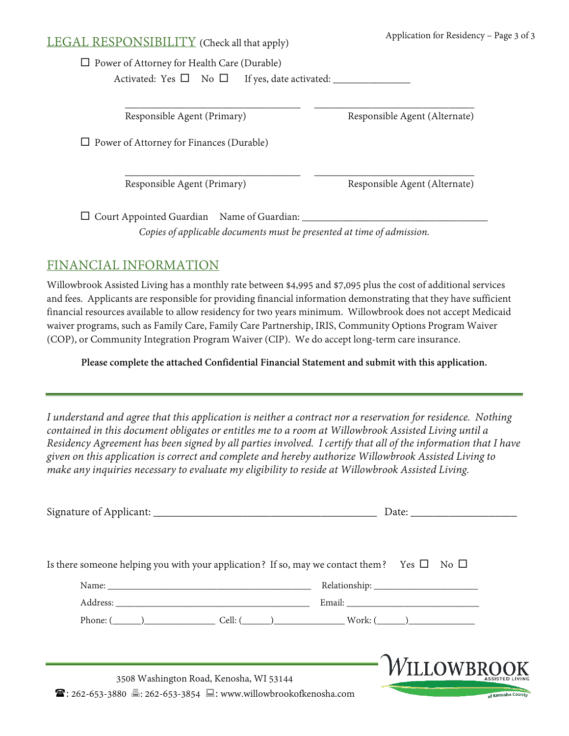## LEGAL RESPONSIBILITY (Check all that apply)

 $\square$  Power of Attorney for Health Care (Durable)

Activated: Yes No If yes, date activated: \_\_\_\_\_\_\_\_\_\_\_\_\_\_\_

 $\overline{\phantom{a}}$  , and the contribution of the contribution of  $\overline{\phantom{a}}$  , and  $\overline{\phantom{a}}$  , and  $\overline{\phantom{a}}$  , and  $\overline{\phantom{a}}$  , and  $\overline{\phantom{a}}$  , and  $\overline{\phantom{a}}$  , and  $\overline{\phantom{a}}$  , and  $\overline{\phantom{a}}$  , and  $\overline{\phantom{a}}$  , and Responsible Agent (Primary) Responsible Agent (Alternate)

 $\Box$  Power of Attorney for Finances (Durable)

 $\overline{\phantom{a}}$  , and the contribution of the contribution of  $\overline{\phantom{a}}$  , and  $\overline{\phantom{a}}$  , and  $\overline{\phantom{a}}$  , and  $\overline{\phantom{a}}$  , and  $\overline{\phantom{a}}$  , and  $\overline{\phantom{a}}$  , and  $\overline{\phantom{a}}$  , and  $\overline{\phantom{a}}$  , and  $\overline{\phantom{a}}$  , and Responsible Agent (Primary) Responsible Agent (Alternate)

Court Appointed Guardian Name of Guardian: \_\_\_\_\_\_\_\_\_\_\_\_\_\_\_\_\_\_\_\_\_\_\_\_\_\_\_\_\_\_\_\_\_\_\_\_

*Copies of applicable documents must be presented at time of admission.*

# FINANCIAL INFORMATION

Willowbrook Assisted Living has a monthly rate between \$4,995 and \$7,095 plus the cost of additional services and fees. Applicants are responsible for providing financial information demonstrating that they have sufficient financial resources available to allow residency for two years minimum. Willowbrook does not accept Medicaid waiver programs, such as Family Care, Family Care Partnership, IRIS, Community Options Program Waiver (COP), or Community Integration Program Waiver (CIP). We do accept long-term care insurance.

**Please complete the attached Confidential Financial Statement and submit with this application.**

*I understand and agree that this application is neither a contract nor a reservation for residence. Nothing contained in this document obligates or entitles me to a room at Willowbrook Assisted Living until a Residency Agreement has been signed by all parties involved. I certify that all of the information that I have given on this application is correct and complete and hereby authorize Willowbrook Assisted Living to make any inquiries necessary to evaluate my eligibility to reside at Willowbrook Assisted Living.*

| Is there someone helping you with your application? If so, may we contact them? Yes $\square$ No $\square$ |                                                                              |                    |                   |
|------------------------------------------------------------------------------------------------------------|------------------------------------------------------------------------------|--------------------|-------------------|
|                                                                                                            |                                                                              |                    |                   |
|                                                                                                            |                                                                              |                    |                   |
|                                                                                                            | Phone: $(\_\_\_\_\_\_\_\_\_$ Cell: $(\_\_\_\_\_\_\_\_$ Cell: $(\_\_\_\_\_\_$ |                    |                   |
|                                                                                                            |                                                                              |                    |                   |
| <b>☎</b> : 262-653-3880 昌: 262-653-3854 吕: www.willowbrookofkenosha.com                                    | 3508 Washington Road, Kenosha, WI 53144                                      | <b>WILLOWBROOK</b> | of Kenosha County |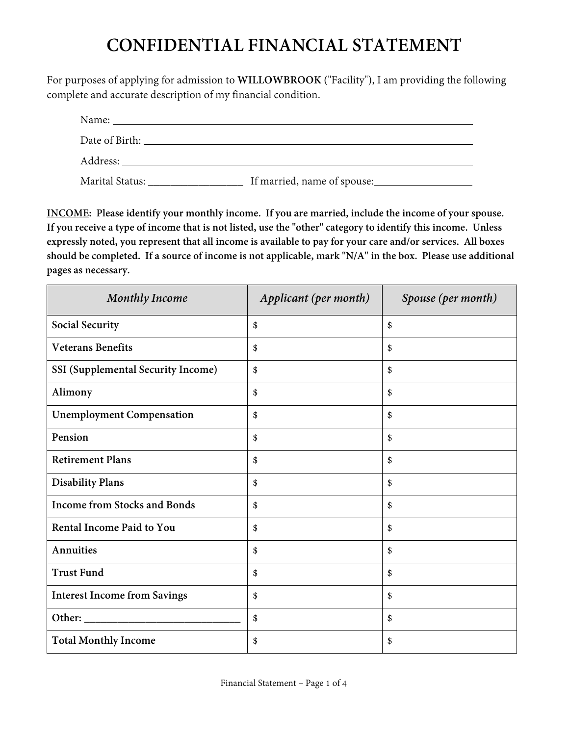# **CONFIDENTIAL FINANCIAL STATEMENT**

For purposes of applying for admission to **WILLOWBROOK** ("Facility"), I am providing the following complete and accurate description of my financial condition.

| Marital Status: National Status States and States States and States States and States States and States States | If married, name of spouse: |
|----------------------------------------------------------------------------------------------------------------|-----------------------------|

**INCOME: Please identify your monthly income. If you are married, include the income of your spouse. If you receive a type of income that is not listed, use the "other" category to identify this income. Unless expressly noted, you represent that all income is available to pay for your care and/or services. All boxes should be completed. If a source of income is not applicable, mark "N/A" in the box. Please use additional pages as necessary.**

| <b>Monthly Income</b>                     | Applicant (per month) | Spouse (per month) |
|-------------------------------------------|-----------------------|--------------------|
| Social Security                           | \$                    | \$                 |
| <b>Veterans Benefits</b>                  | \$                    | \$                 |
| <b>SSI</b> (Supplemental Security Income) | \$                    | \$                 |
| Alimony                                   | \$                    | \$                 |
| <b>Unemployment Compensation</b>          | \$                    | \$                 |
| Pension                                   | \$                    | \$                 |
| <b>Retirement Plans</b>                   | \$                    | \$                 |
| <b>Disability Plans</b>                   | \$                    | \$                 |
| <b>Income from Stocks and Bonds</b>       | \$                    | \$                 |
| Rental Income Paid to You                 | \$                    | \$                 |
| Annuities                                 | \$                    | \$                 |
| <b>Trust Fund</b>                         | \$                    | \$                 |
| <b>Interest Income from Savings</b>       | \$                    | \$                 |
| Other:                                    | \$                    | \$                 |
| <b>Total Monthly Income</b>               | \$                    | \$                 |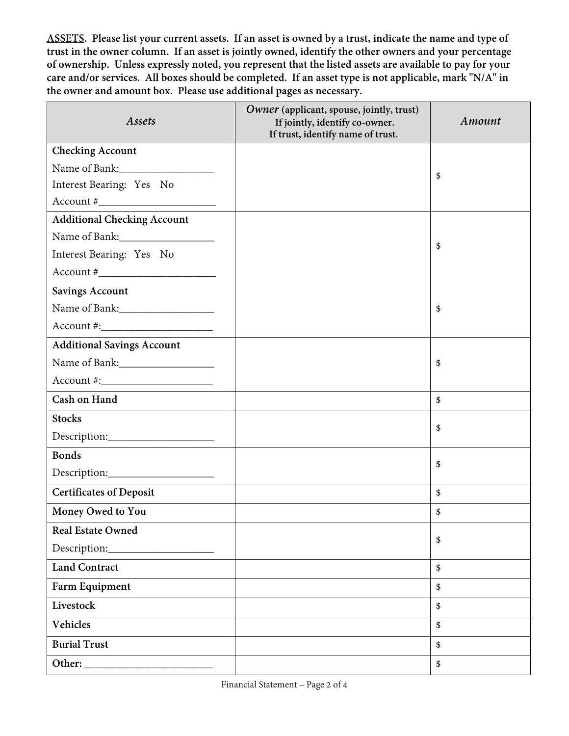**ASSETS. Please list your current assets. If an asset is owned by a trust, indicate the name and type of trust in the owner column. If an asset is jointly owned, identify the other owners and your percentage of ownership. Unless expressly noted, you represent that the listed assets are available to pay for your care and/or services. All boxes should be completed. If an asset type is not applicable, mark "N/A" in the owner and amount box. Please use additional pages as necessary.**

| Assets                             | Owner (applicant, spouse, jointly, trust)<br>If jointly, identify co-owner.<br>If trust, identify name of trust. | Amount |
|------------------------------------|------------------------------------------------------------------------------------------------------------------|--------|
| <b>Checking Account</b>            |                                                                                                                  |        |
|                                    |                                                                                                                  | \$     |
| Interest Bearing: Yes No           |                                                                                                                  |        |
| $Account # \_$                     |                                                                                                                  |        |
| <b>Additional Checking Account</b> |                                                                                                                  |        |
|                                    |                                                                                                                  | \$     |
| Interest Bearing: Yes No           |                                                                                                                  |        |
| $Account # \_$                     |                                                                                                                  |        |
| <b>Savings Account</b>             |                                                                                                                  |        |
|                                    |                                                                                                                  | \$     |
| $Account \#:\_$                    |                                                                                                                  |        |
| <b>Additional Savings Account</b>  |                                                                                                                  |        |
|                                    |                                                                                                                  | \$     |
| $Account \#:\_$                    |                                                                                                                  |        |
| Cash on Hand                       |                                                                                                                  | \$     |
| <b>Stocks</b>                      |                                                                                                                  | \$     |
|                                    |                                                                                                                  |        |
| <b>Bonds</b>                       |                                                                                                                  |        |
|                                    |                                                                                                                  | \$     |
| <b>Certificates of Deposit</b>     |                                                                                                                  | \$     |
| Money Owed to You                  |                                                                                                                  | \$     |
| <b>Real Estate Owned</b>           |                                                                                                                  | \$     |
| Description:                       |                                                                                                                  |        |
| <b>Land Contract</b>               |                                                                                                                  | \$     |
| Farm Equipment                     |                                                                                                                  | \$     |
| Livestock                          |                                                                                                                  | \$     |
| Vehicles                           |                                                                                                                  | \$     |
| <b>Burial Trust</b>                |                                                                                                                  | \$     |
|                                    |                                                                                                                  | \$     |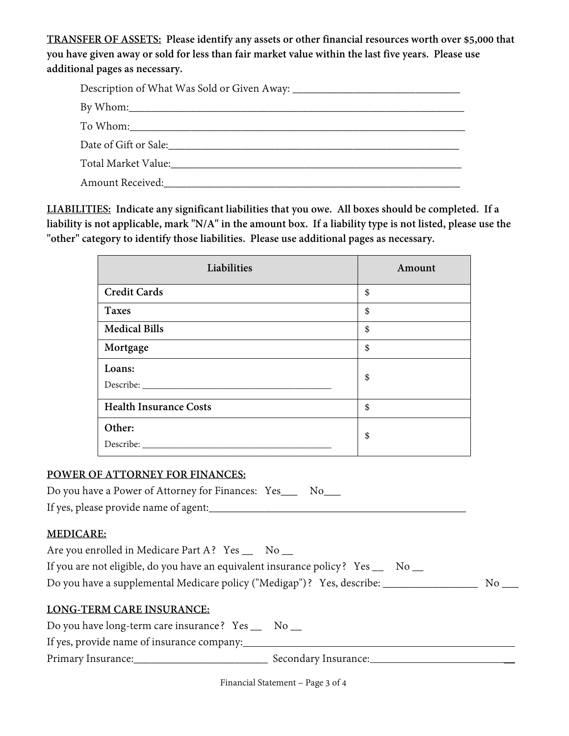**TRANSFER OF ASSETS: Please identify any assets or other financial resources worth over \$5,000 that you have given away or sold for less than fair market value within the last five years. Please use additional pages as necessary.**

| Date of Gift or Sale: <u>Capacitan Communication</u> |
|------------------------------------------------------|
|                                                      |
| Amount Received: National Amount Received:           |

**LIABILITIES: Indicate any significant liabilities that you owe. All boxes should be completed. If a liability is not applicable, mark "N/A" in the amount box. If a liability type is not listed, please use the "other" category to identify those liabilities. Please use additional pages as necessary.**

| Liabilities                   | Amount |
|-------------------------------|--------|
| <b>Credit Cards</b>           | \$     |
| <b>Taxes</b>                  | \$     |
| <b>Medical Bills</b>          | \$     |
| Mortgage                      | \$     |
| Loans:                        | \$     |
| <b>Health Insurance Costs</b> | \$     |
| Other:<br>Describe:           | \$     |

### **POWER OF ATTORNEY FOR FINANCES:**

| Do you have a Power of Attorney for Finances: Yes_ |  | N <sub>0</sub> |
|----------------------------------------------------|--|----------------|
|----------------------------------------------------|--|----------------|

If yes, please provide name of agent:

### **MEDICARE:**

Are you enrolled in Medicare Part A? Yes \_\_ No \_\_

| If you are not eligible, do you have an equivalent insurance policy? Yes _ |  | $\rm No$ |
|----------------------------------------------------------------------------|--|----------|
|----------------------------------------------------------------------------|--|----------|

Do you have a supplemental Medicare policy ("Medigap")? Yes, describe: No \_\_\_\_\_\_\_

## **LONG-TERM CARE INSURANCE:**

Do you have long-term care insurance? Yes \_\_ No \_\_

If yes, provide name of insurance company:

Primary Insurance: \_\_\_\_\_\_\_\_\_\_\_\_\_\_\_\_\_\_\_\_\_\_\_\_\_\_\_\_\_\_\_\_\_\_ Secondary Insurance: \_\_\_\_\_\_\_\_\_\_\_\_\_\_\_\_\_\_\_\_\_\_\_\_\_

Financial Statement – Page 3 of 4